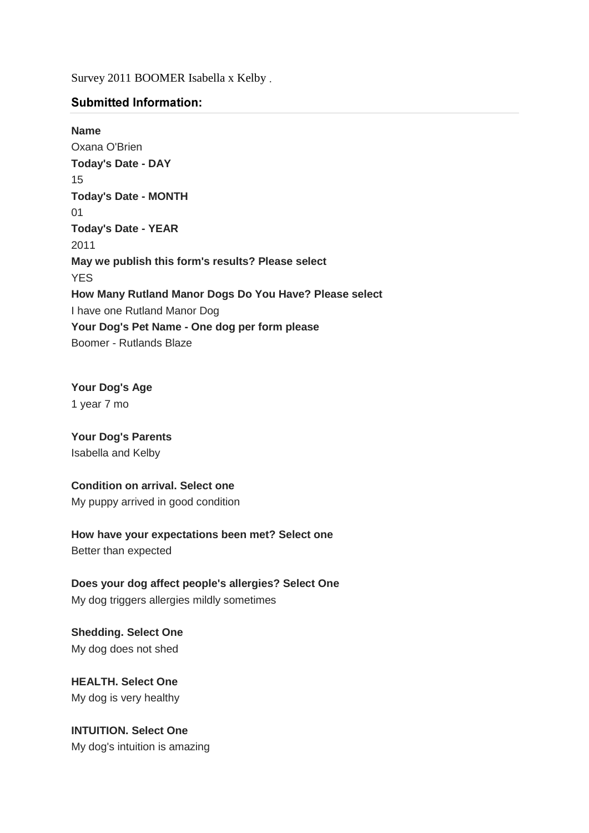Survey 2011 BOOMER Isabella x Kelby

## **Submitted Information:**

**Name** Oxana O'Brien **Today's Date - DAY** 15 **Today's Date - MONTH** 01 **Today's Date - YEAR** 2011 **May we publish this form's results? Please select** YES **How Many Rutland Manor Dogs Do You Have? Please select**  I have one Rutland Manor Dog **Your Dog's Pet Name - One dog per form please** Boomer - Rutlands Blaze

# **Your Dog's Age** 1 year 7 mo

**Your Dog's Parents**  Isabella and Kelby

## **Condition on arrival. Select one**

My puppy arrived in good condition

**How have your expectations been met? Select one** Better than expected

**Does your dog affect people's allergies? Select One** My dog triggers allergies mildly sometimes

**Shedding. Select One** My dog does not shed

**HEALTH. Select One** My dog is very healthy

**INTUITION. Select One** My dog's intuition is amazing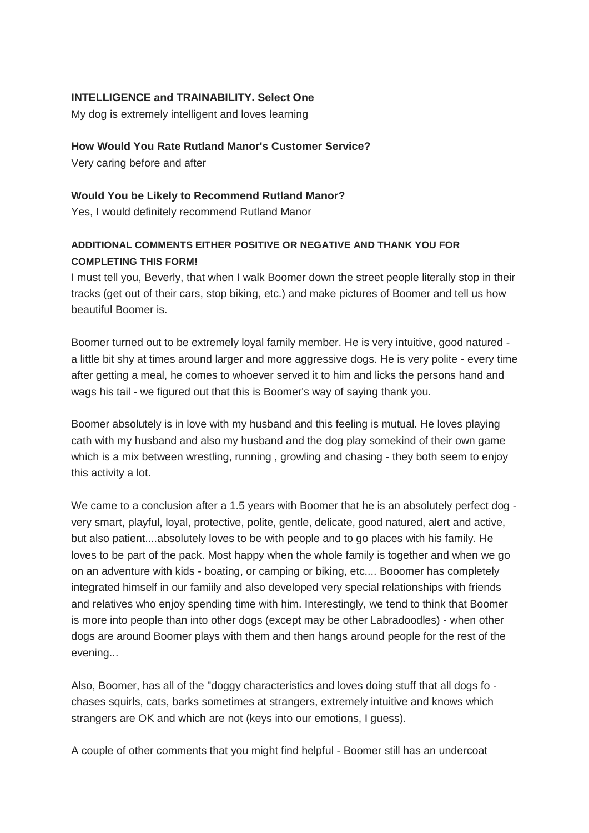# **INTELLIGENCE and TRAINABILITY. Select One**

My dog is extremely intelligent and loves learning

#### **How Would You Rate Rutland Manor's Customer Service?**

Very caring before and after

#### **Would You be Likely to Recommend Rutland Manor?**

Yes, I would definitely recommend Rutland Manor

# **ADDITIONAL COMMENTS EITHER POSITIVE OR NEGATIVE AND THANK YOU FOR COMPLETING THIS FORM!**

I must tell you, Beverly, that when I walk Boomer down the street people literally stop in their tracks (get out of their cars, stop biking, etc.) and make pictures of Boomer and tell us how beautiful Boomer is.

Boomer turned out to be extremely loyal family member. He is very intuitive, good natured a little bit shy at times around larger and more aggressive dogs. He is very polite - every time after getting a meal, he comes to whoever served it to him and licks the persons hand and wags his tail - we figured out that this is Boomer's way of saying thank you.

Boomer absolutely is in love with my husband and this feeling is mutual. He loves playing cath with my husband and also my husband and the dog play somekind of their own game which is a mix between wrestling, running , growling and chasing - they both seem to enjoy this activity a lot.

We came to a conclusion after a 1.5 years with Boomer that he is an absolutely perfect dog very smart, playful, loyal, protective, polite, gentle, delicate, good natured, alert and active, but also patient....absolutely loves to be with people and to go places with his family. He loves to be part of the pack. Most happy when the whole family is together and when we go on an adventure with kids - boating, or camping or biking, etc.... Booomer has completely integrated himself in our famiily and also developed very special relationships with friends and relatives who enjoy spending time with him. Interestingly, we tend to think that Boomer is more into people than into other dogs (except may be other Labradoodles) - when other dogs are around Boomer plays with them and then hangs around people for the rest of the evening...

Also, Boomer, has all of the "doggy characteristics and loves doing stuff that all dogs fo chases squirls, cats, barks sometimes at strangers, extremely intuitive and knows which strangers are OK and which are not (keys into our emotions, I guess).

A couple of other comments that you might find helpful - Boomer still has an undercoat